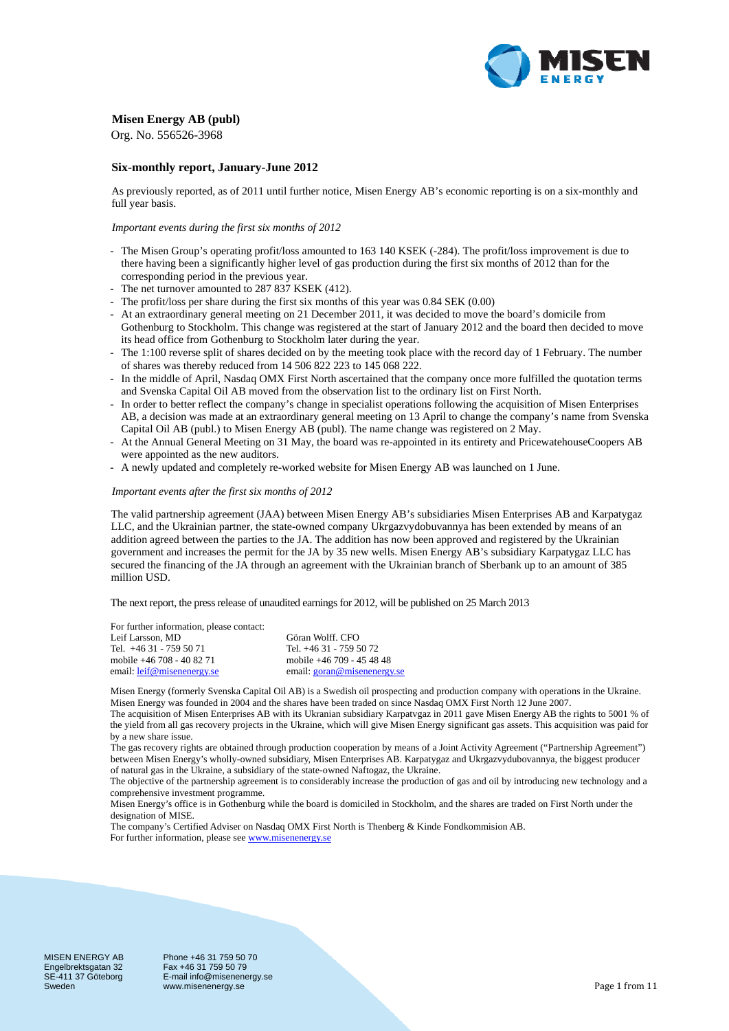

## **Misen Energy AB (publ)**

Org. No. 556526-3968

## **Six-monthly report, January-June 2012**

As previously reported, as of 2011 until further notice, Misen Energy AB's economic reporting is on a six-monthly and full year basis.

### *Important events during the first six months of 2012*

- The Misen Group's operating profit/loss amounted to 163 140 KSEK (-284). The profit/loss improvement is due to there having been a significantly higher level of gas production during the first six months of 2012 than for the corresponding period in the previous year.
- The net turnover amounted to 287 837 KSEK (412).
- The profit/loss per share during the first six months of this year was 0.84 SEK (0.00)
- At an extraordinary general meeting on 21 December 2011, it was decided to move the board's domicile from Gothenburg to Stockholm. This change was registered at the start of January 2012 and the board then decided to move its head office from Gothenburg to Stockholm later during the year.
- The 1:100 reverse split of shares decided on by the meeting took place with the record day of 1 February. The number of shares was thereby reduced from 14 506 822 223 to 145 068 222.
- In the middle of April, Nasdaq OMX First North ascertained that the company once more fulfilled the quotation terms and Svenska Capital Oil AB moved from the observation list to the ordinary list on First North.
- In order to better reflect the company's change in specialist operations following the acquisition of Misen Enterprises AB, a decision was made at an extraordinary general meeting on 13 April to change the company's name from Svenska Capital Oil AB (publ.) to Misen Energy AB (publ). The name change was registered on 2 May.
- At the Annual General Meeting on 31 May, the board was re-appointed in its entirety and PricewatehouseCoopers AB were appointed as the new auditors.
- A newly updated and completely re-worked website for Misen Energy AB was launched on 1 June.

### *Important events after the first six months of 2012*

The valid partnership agreement (JAA) between Misen Energy AB's subsidiaries Misen Enterprises AB and Karpatygaz LLC, and the Ukrainian partner, the state-owned company Ukrgazvydobuvannya has been extended by means of an addition agreed between the parties to the JA. The addition has now been approved and registered by the Ukrainian government and increases the permit for the JA by 35 new wells. Misen Energy AB's subsidiary Karpatygaz LLC has secured the financing of the JA through an agreement with the Ukrainian branch of Sberbank up to an amount of 385 million USD.

The next report, the press release of unaudited earnings for 2012, will be published on 25 March 2013

For further information, please contact: Leif Larsson, MD Göran Wolff. CFO

| Leif Larsson, MD           | Goran Wolff. CFO            |
|----------------------------|-----------------------------|
| Tel. +46 31 - 759 50 71    | Tel. +46 31 - 759 50 72     |
| mobile +46 708 - 40 82 71  | mobile +46 709 - 45 48 48   |
| email: leif@misenenergy.se | email: goran@misenenergy.se |

Misen Energy (formerly Svenska Capital Oil AB) is a Swedish oil prospecting and production company with operations in the Ukraine. Misen Energy was founded in 2004 and the shares have been traded on since Nasdaq OMX First North 12 June 2007.

The acquisition of Misen Enterprises AB with its Ukranian subsidiary Karpatvgaz in 2011 gave Misen Energy AB the rights to 5001 % of the yield from all gas recovery projects in the Ukraine, which will give Misen Energy significant gas assets. This acquisition was paid for by a new share issue.

The gas recovery rights are obtained through production cooperation by means of a Joint Activity Agreement ("Partnership Agreement") between Misen Energy's wholly-owned subsidiary, Misen Enterprises AB. Karpatygaz and Ukrgazvydubovannya, the biggest producer of natural gas in the Ukraine, a subsidiary of the state-owned Naftogaz, the Ukraine.

The objective of the partnership agreement is to considerably increase the production of gas and oil by introducing new technology and a comprehensive investment programme.

Misen Energy's office is in Gothenburg while the board is domiciled in Stockholm, and the shares are traded on First North under the designation of MISE.

The company's Certified Adviser on Nasdaq OMX First North is Thenberg & Kinde Fondkommision AB. For further information, please see www.misenenergy.se

MISEN ENERGY AB Engelbrektsgatan 32 SE-411 37 Göteborg Sweden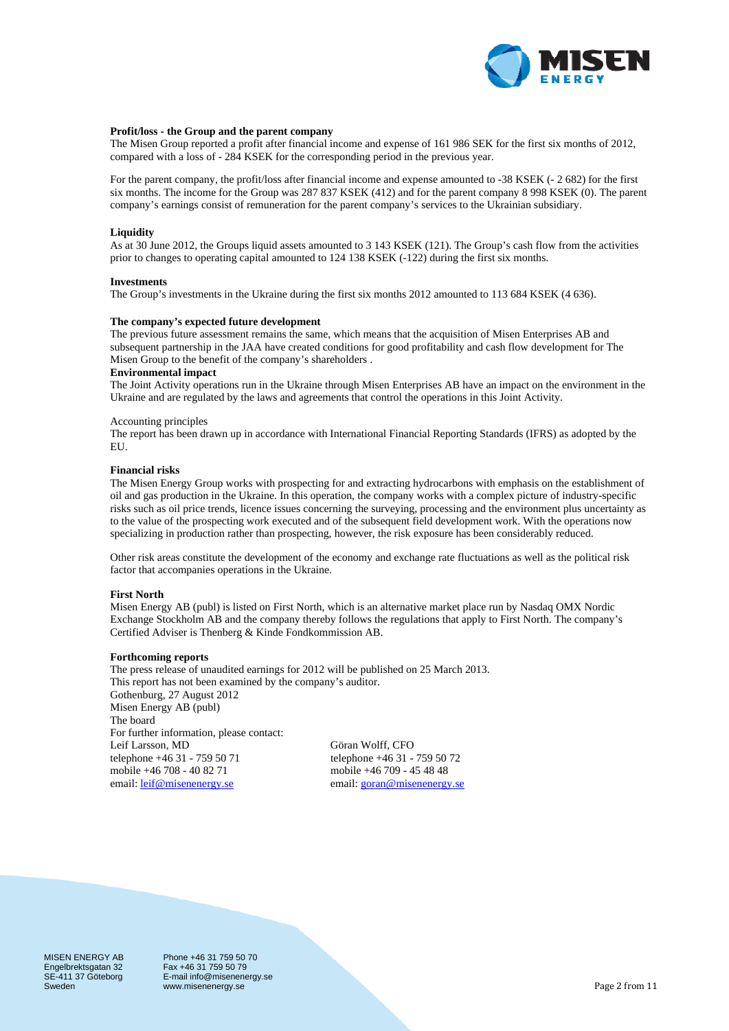

### **Profit/loss - the Group and the parent company**

The Misen Group reported a profit after financial income and expense of 161 986 SEK for the first six months of 2012, compared with a loss of - 284 KSEK for the corresponding period in the previous year.

For the parent company, the profit/loss after financial income and expense amounted to -38 KSEK (- 2 682) for the first six months. The income for the Group was 287 837 KSEK (412) and for the parent company 8 998 KSEK (0). The parent company's earnings consist of remuneration for the parent company's services to the Ukrainian subsidiary.

### **Liquidity**

As at 30 June 2012, the Groups liquid assets amounted to 3 143 KSEK (121). The Group's cash flow from the activities prior to changes to operating capital amounted to 124 138 KSEK (-122) during the first six months.

#### **Investments**

The Group's investments in the Ukraine during the first six months 2012 amounted to 113 684 KSEK (4 636).

### **The company's expected future development**

The previous future assessment remains the same, which means that the acquisition of Misen Enterprises AB and subsequent partnership in the JAA have created conditions for good profitability and cash flow development for The Misen Group to the benefit of the company's shareholders .

### **Environmental impact**

The Joint Activity operations run in the Ukraine through Misen Enterprises AB have an impact on the environment in the Ukraine and are regulated by the laws and agreements that control the operations in this Joint Activity.

### Accounting principles

The report has been drawn up in accordance with International Financial Reporting Standards (IFRS) as adopted by the EU.

### **Financial risks**

The Misen Energy Group works with prospecting for and extracting hydrocarbons with emphasis on the establishment of oil and gas production in the Ukraine. In this operation, the company works with a complex picture of industry-specific risks such as oil price trends, licence issues concerning the surveying, processing and the environment plus uncertainty as to the value of the prospecting work executed and of the subsequent field development work. With the operations now specializing in production rather than prospecting, however, the risk exposure has been considerably reduced.

Other risk areas constitute the development of the economy and exchange rate fluctuations as well as the political risk factor that accompanies operations in the Ukraine.

### **First North**

Misen Energy AB (publ) is listed on First North, which is an alternative market place run by Nasdaq OMX Nordic Exchange Stockholm AB and the company thereby follows the regulations that apply to First North. The company's Certified Adviser is Thenberg & Kinde Fondkommission AB.

#### **Forthcoming reports**

The press release of unaudited earnings for 2012 will be published on 25 March 2013. This report has not been examined by the company's auditor. Gothenburg, 27 August 2012 Misen Energy AB (publ) The board For further information, please contact: Leif Larsson, MD Göran Wolff, CFO telephone +46 31 - 759 50 71 telephone +46 31 - 759 50 72<br>mobile +46 708 - 40 82 71 mobile +46 709 - 45 48 48 mobile +46 708 - 40 82 71 email: <u>leif@misenenergy.se</u> email: goran@misenenergy.se

MISEN ENERGY AB Engelbrektsgatan 32 SE-411 37 Göteborg Sweden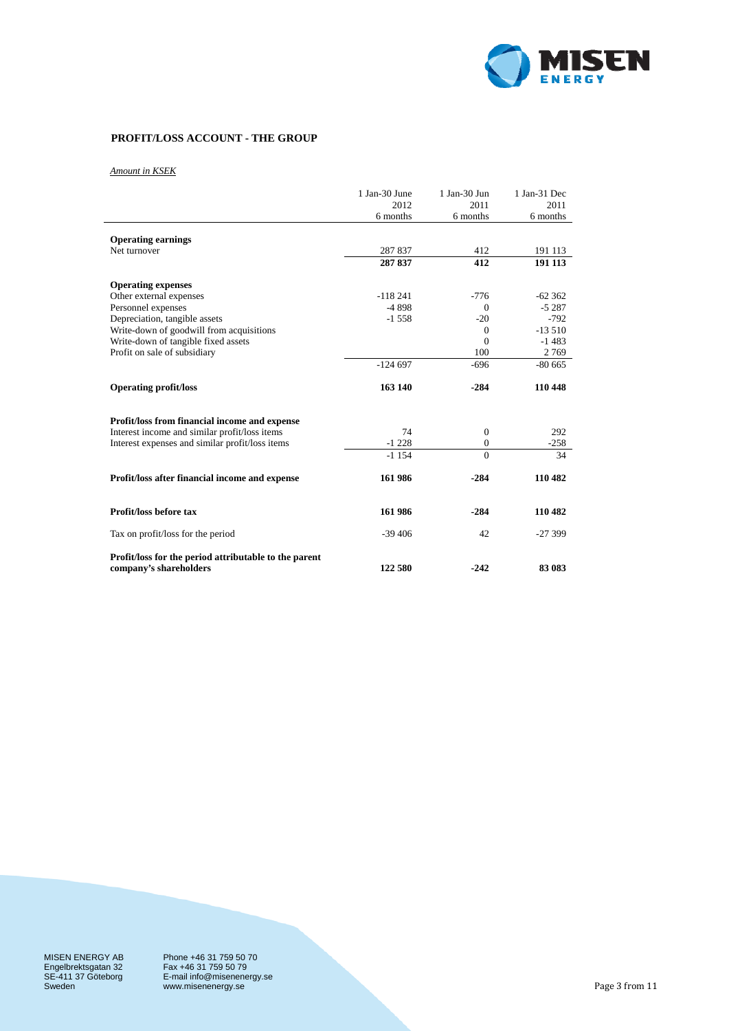

# **PROFIT/LOSS ACCOUNT - THE GROUP**

*Amount in KSEK*

|                                                       | 1 Jan-30 June | 1 Jan-30 Jun | 1 Jan-31 Dec |
|-------------------------------------------------------|---------------|--------------|--------------|
|                                                       | 2012          | 2011         | 2011         |
|                                                       | 6 months      | 6 months     | 6 months     |
| <b>Operating earnings</b>                             |               |              |              |
| Net turnover                                          | 287837        | 412          | 191 113      |
|                                                       | 287 837       | 412          | 191 113      |
| <b>Operating expenses</b>                             |               |              |              |
| Other external expenses                               | $-118241$     | $-776$       | $-62362$     |
| Personnel expenses                                    | $-4898$       | $\Omega$     | $-5287$      |
| Depreciation, tangible assets                         | $-1558$       | $-20$        | $-792$       |
| Write-down of goodwill from acquisitions              |               | $\Omega$     | $-13510$     |
| Write-down of tangible fixed assets                   |               | $\Omega$     | $-1483$      |
| Profit on sale of subsidiary                          |               | 100          | 2769         |
|                                                       | $-124697$     | $-696$       | $-8065$      |
| <b>Operating profit/loss</b>                          | 163 140       | $-284$       | 110 448      |
| Profit/loss from financial income and expense         |               |              |              |
| Interest income and similar profit/loss items         | 74            | $\theta$     | 292          |
| Interest expenses and similar profit/loss items       | $-1228$       | $\theta$     | $-258$       |
|                                                       | $-1154$       | $\Omega$     | 34           |
| Profit/loss after financial income and expense        | 161986        | $-284$       | 110 482      |
| Profit/loss before tax                                | 161 986       | $-284$       | 110 482      |
| Tax on profit/loss for the period                     | $-39406$      | 42           | $-27399$     |
| Profit/loss for the period attributable to the parent |               |              |              |
| company's shareholders                                | 122 580       | $-242$       | 83 083       |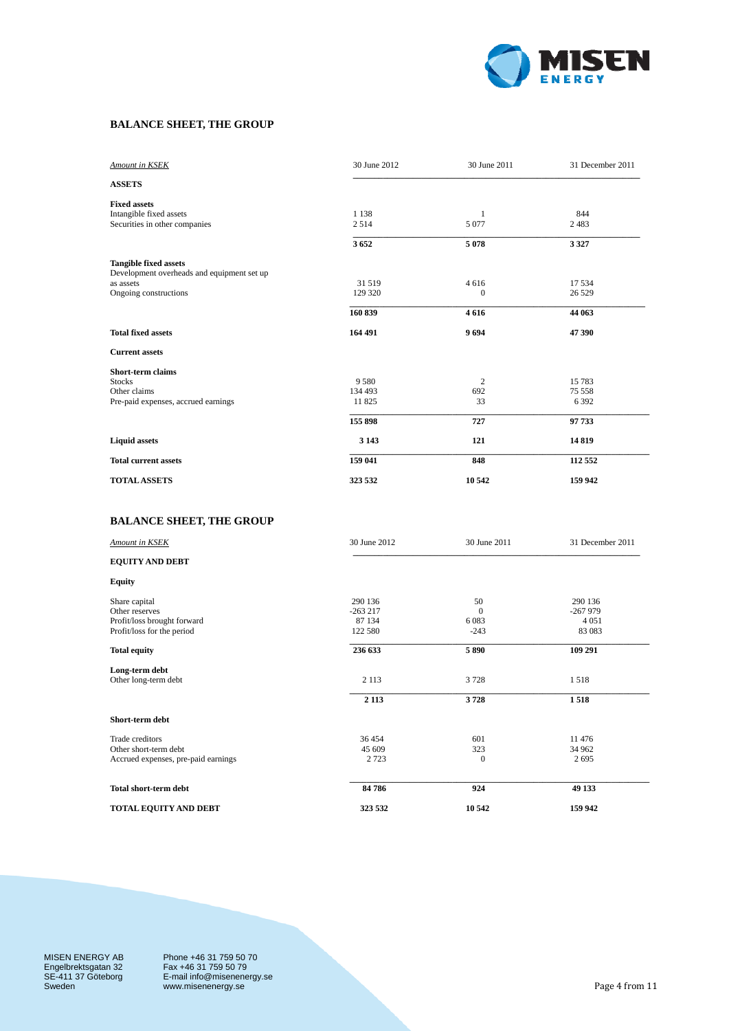

## **BALANCE SHEET, THE GROUP**

| Amount in KSEK                             | 30 June 2012 | 30 June 2011 | 31 December 2011 |
|--------------------------------------------|--------------|--------------|------------------|
| <b>ASSETS</b>                              |              |              |                  |
| <b>Fixed assets</b>                        |              |              |                  |
| Intangible fixed assets                    | 1 1 3 8      | 1            | 844              |
| Securities in other companies              | 2514         | 5 0 7 7      | 2483             |
|                                            | 3652         | 5078         | 3 3 2 7          |
| <b>Tangible fixed assets</b>               |              |              |                  |
| Development overheads and equipment set up |              |              |                  |
| as assets                                  | 31 519       | 4 6 1 6      | 17 5 34          |
| Ongoing constructions                      | 129 320      | $\theta$     | 26 5 29          |
|                                            | 160 839      | 4616         | 44 063           |
| <b>Total fixed assets</b>                  | 164 491      | 9694         | 47 390           |
| <b>Current assets</b>                      |              |              |                  |
| <b>Short-term claims</b>                   |              |              |                  |
| <b>Stocks</b>                              | 9580         | 2            | 15 783           |
| Other claims                               | 134 493      | 692          | 75 558           |
| Pre-paid expenses, accrued earnings        | 11825        | 33           | 6 3 9 2          |
|                                            | 155 898      | 727          | 97 733           |
| <b>Liquid assets</b>                       | 3 1 4 3      | 121          | 14819            |
| <b>Total current assets</b>                | 159 041      | 848          | 112 552          |
| <b>TOTAL ASSETS</b>                        | 323 532      | 10 542       | 159 942          |

# **BALANCE SHEET, THE GROUP**

| <b>Amount in KSEK</b>               | 30 June 2012 | 30 June 2011 | 31 December 2011 |
|-------------------------------------|--------------|--------------|------------------|
| <b>EQUITY AND DEBT</b>              |              |              |                  |
| <b>Equity</b>                       |              |              |                  |
| Share capital                       | 290 136      | 50           | 290 136          |
| Other reserves                      | $-263217$    | $\mathbf{0}$ | $-267979$        |
| Profit/loss brought forward         | 87 134       | 6083         | 4 0 5 1          |
| Profit/loss for the period          | 122 580      | $-243$       | 83 083           |
| <b>Total equity</b>                 | 236 633      | 5890         | 109 291          |
| Long-term debt                      |              |              |                  |
| Other long-term debt                | 2 1 1 3      | 3728         | 1518             |
|                                     | 2 1 1 3      | 3728         | 1518             |
| Short-term debt                     |              |              |                  |
| Trade creditors                     | 36 454       | 601          | 11 476           |
| Other short-term debt               | 45 609       | 323          | 34 962           |
| Accrued expenses, pre-paid earnings | 2 7 2 3      | $\theta$     | 2695             |
| <b>Total short-term debt</b>        | 84786        | 924          | 49 133           |
|                                     |              |              |                  |
| TOTAL EQUITY AND DEBT               | 323 532      | 10 542       | 159 942          |

MISEN ENERGY AB Engelbrektsgatan 32 SE-411 37 Göteborg Sweden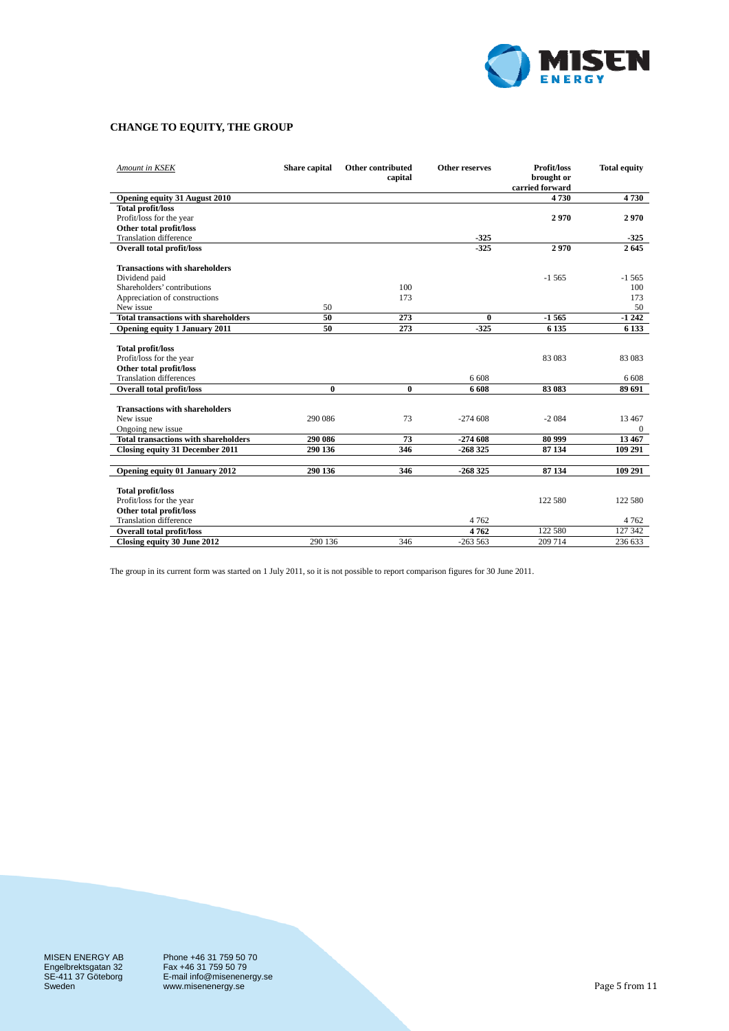

# **CHANGE TO EQUITY, THE GROUP**

| Amount in KSEK                                           | Share capital | Other contributed<br>capital | <b>Other reserves</b> | Profit/loss<br>brought or<br>carried forward | <b>Total equity</b> |
|----------------------------------------------------------|---------------|------------------------------|-----------------------|----------------------------------------------|---------------------|
| Opening equity 31 August 2010                            |               |                              |                       | 4730                                         | 4730                |
| <b>Total profit/loss</b>                                 |               |                              |                       |                                              |                     |
| Profit/loss for the year                                 |               |                              |                       | 2970                                         | 2970                |
| Other total profit/loss                                  |               |                              |                       |                                              |                     |
| <b>Translation difference</b>                            |               |                              | $-325$                |                                              | $-325$              |
| <b>Overall total profit/loss</b>                         |               |                              | $-325$                | 2970                                         | 2645                |
| <b>Transactions with shareholders</b>                    |               |                              |                       |                                              |                     |
| Dividend paid                                            |               |                              |                       | $-1565$                                      | $-1565$             |
| Shareholders' contributions                              |               | 100                          |                       |                                              | 100                 |
| Appreciation of constructions                            |               | 173                          |                       |                                              | 173                 |
| New issue                                                | 50            |                              |                       |                                              | 50                  |
| <b>Total transactions with shareholders</b>              | 50            | 273                          | $\bf{0}$              | $-1565$                                      | $-1242$             |
| Opening equity 1 January 2011                            | 50            | 273                          | $-325$                | 6 1 3 5                                      | 6 1 3 3             |
|                                                          |               |                              |                       |                                              |                     |
| <b>Total profit/loss</b>                                 |               |                              |                       |                                              |                     |
| Profit/loss for the year                                 |               |                              |                       | 83 083                                       | 83 083              |
| Other total profit/loss                                  |               |                              |                       |                                              |                     |
| <b>Translation differences</b>                           |               |                              | 6 608                 |                                              | 6 6 0 8             |
| <b>Overall total profit/loss</b>                         | $\mathbf{0}$  | $\bf{0}$                     | 6 608                 | 83 083                                       | 89 691              |
|                                                          |               |                              |                       |                                              |                     |
| <b>Transactions with shareholders</b>                    |               |                              |                       |                                              |                     |
| New issue                                                | 290 086       | 73                           | $-274608$             | $-2084$                                      | 13 4 67             |
| Ongoing new issue                                        |               |                              |                       |                                              | $\mathbf{0}$        |
| <b>Total transactions with shareholders</b>              | 290 086       | 73                           | $-274608$             | 80 999                                       | 13 467              |
| Closing equity 31 December 2011                          | 290 136       | 346                          | $-268325$             | 87 134                                       | 109 291             |
|                                                          |               |                              |                       |                                              |                     |
| Opening equity 01 January 2012                           | 290 136       | 346                          | $-268325$             | 87 134                                       | 109 291             |
|                                                          |               |                              |                       |                                              |                     |
| <b>Total profit/loss</b>                                 |               |                              |                       |                                              |                     |
| Profit/loss for the year                                 |               |                              |                       | 122 580                                      | 122 580             |
| Other total profit/loss<br><b>Translation difference</b> |               |                              | 4 7 6 2               |                                              |                     |
|                                                          |               |                              |                       | 122 580                                      | 4 7 6 2<br>127 342  |
| <b>Overall total profit/loss</b>                         |               |                              | 4762                  |                                              |                     |
| Closing equity 30 June 2012                              | 290 136       | 346                          | $-263563$             | 209 714                                      | 236 633             |

The group in its current form was started on 1 July 2011, so it is not possible to report comparison figures for 30 June 2011.

MISEN ENERGY AB Engelbrektsgatan 32 SE-411 37 Göteborg Sweden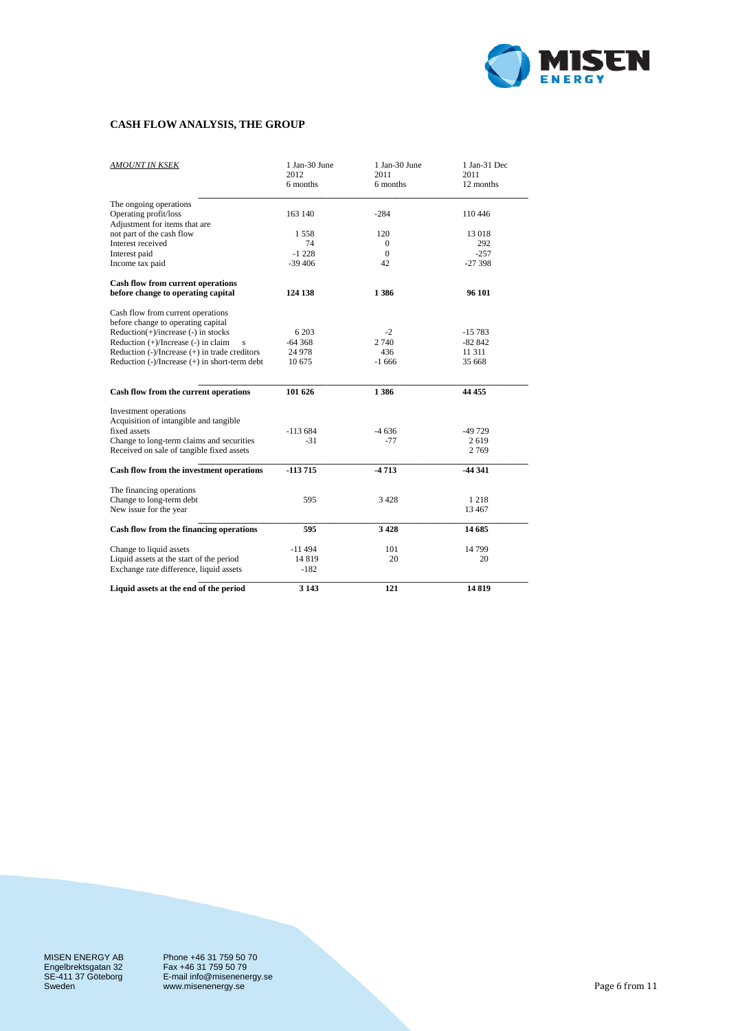

## **CASH FLOW ANALYSIS, THE GROUP**

| <b>AMOUNT IN KSEK</b>                                                                  | 1 Jan-30 June<br>2012<br>6 months | 1 Jan-30 June<br>2011<br>6 months | 1 Jan-31 Dec<br>2011<br>12 months |
|----------------------------------------------------------------------------------------|-----------------------------------|-----------------------------------|-----------------------------------|
| The ongoing operations                                                                 |                                   |                                   |                                   |
| Operating profit/loss                                                                  | 163 140                           | $-284$                            | 110446                            |
| Adjustment for items that are                                                          |                                   |                                   |                                   |
| not part of the cash flow                                                              | 1558                              | 120                               | 13018                             |
| Interest received                                                                      | 74                                | $\Omega$                          | 292                               |
| Interest paid                                                                          | $-1228$                           | $\mathbf{0}$                      | $-257$                            |
| Income tax paid                                                                        | $-39406$                          | 42                                | $-27398$                          |
| Cash flow from current operations                                                      |                                   |                                   |                                   |
| before change to operating capital                                                     | 124 138                           | 1386                              | 96 101                            |
| Cash flow from current operations<br>before change to operating capital                |                                   |                                   |                                   |
| $Reduction(+)/increase(-)$ in stocks                                                   | 6 2 0 3                           | $-2$                              | $-15783$                          |
| Reduction $(+)/$ Increase $(-)$ in claim                                               | $-64368$                          | 2 740                             | $-82842$                          |
| Reduction $(-)/$ Increase $(+)$ in trade creditors                                     | 24 978                            | 436                               | 11 311                            |
| Reduction (-)/Increase (+) in short-term debt                                          | 10 675                            | $-1666$                           | 35 668                            |
| Cash flow from the current operations                                                  | 101 626                           | 1386                              | 44 455                            |
| Investment operations                                                                  |                                   |                                   |                                   |
| Acquisition of intangible and tangible                                                 |                                   |                                   |                                   |
| fixed assets                                                                           | $-113684$                         | $-4636$                           | -49 729                           |
| Change to long-term claims and securities<br>Received on sale of tangible fixed assets | $-31$                             | $-77$                             | 2619<br>2769                      |
| Cash flow from the investment operations                                               | $-113715$                         | $-4713$                           | $-44341$                          |
| The financing operations                                                               |                                   |                                   |                                   |
| Change to long-term debt                                                               | 595                               | 3 4 2 8                           | 1 2 1 8                           |
| New issue for the year                                                                 |                                   |                                   | 13 4 67                           |
| Cash flow from the financing operations                                                | 595                               | 3428                              | 14 685                            |
| Change to liquid assets                                                                | $-11494$                          | 101                               | 14799                             |
| Liquid assets at the start of the period                                               | 14819                             | 20                                | 20                                |
| Exchange rate difference, liquid assets                                                | $-182$                            |                                   |                                   |
| Liquid assets at the end of the period                                                 | 3 1 4 3                           | 121                               | 14819                             |

MISEN ENERGY AB Engelbrektsgatan 32 SE-411 37 Göteborg Sweden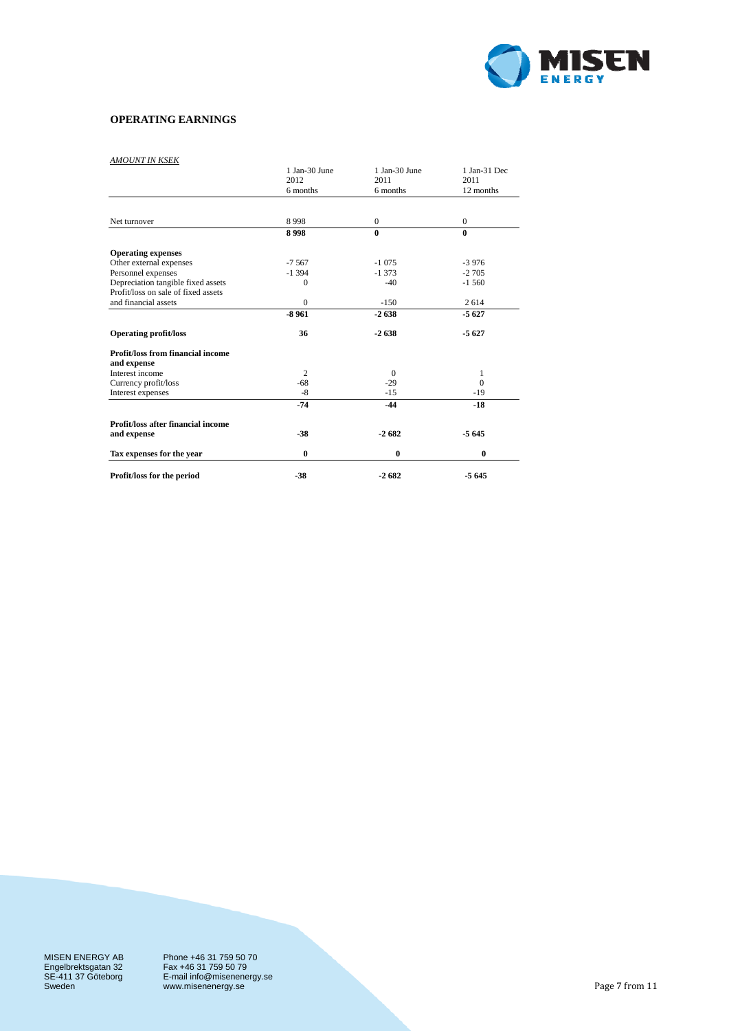

## **OPERATING EARNINGS**

## *AMOUNT IN KSEK*

|                                           | 1 Jan-30 June<br>2012 | 1 Jan-30 June<br>2011 | 1 Jan-31 Dec<br>2011 |
|-------------------------------------------|-----------------------|-----------------------|----------------------|
|                                           | 6 months              | 6 months              | 12 months            |
|                                           |                       |                       |                      |
| Net turnover                              | 8998                  | $\boldsymbol{0}$      | $\mathbf{0}$         |
|                                           | 8998                  | $\bf{0}$              | $\bf{0}$             |
| <b>Operating expenses</b>                 |                       |                       |                      |
| Other external expenses                   | $-7567$               | $-1075$               | $-3976$              |
| Personnel expenses                        | $-1394$               | $-1373$               | $-2705$              |
| Depreciation tangible fixed assets        | $\mathbf{0}$          | $-40$                 | $-1,560$             |
| Profit/loss on sale of fixed assets       |                       |                       |                      |
| and financial assets                      | $\mathbf{0}$          | $-150$                | 2614                 |
|                                           | $-8961$               | $-2638$               | $-5627$              |
| <b>Operating profit/loss</b>              | 36                    | $-2638$               | $-5627$              |
| <b>Profit/loss from financial income</b>  |                       |                       |                      |
| and expense                               |                       |                       |                      |
| Interest income                           | $\overline{c}$        | $\Omega$              | 1                    |
| Currency profit/loss                      | $-68$                 | $-29$                 | $\Omega$             |
| Interest expenses                         | $-8$                  | $-15$                 | $-19$                |
|                                           | $-74$                 | $-44$                 | $-18$                |
| <b>Profit/loss after financial income</b> |                       |                       |                      |
| and expense                               | $-38$                 | $-2682$               | $-5645$              |
| Tax expenses for the year                 | $\bf{0}$              | $\bf{0}$              | $\bf{0}$             |
| Profit/loss for the period                | $-38$                 | $-2682$               | $-5645$              |

MISEN ENERGY AB Engelbrektsgatan 32 SE-411 37 Göteborg Sweden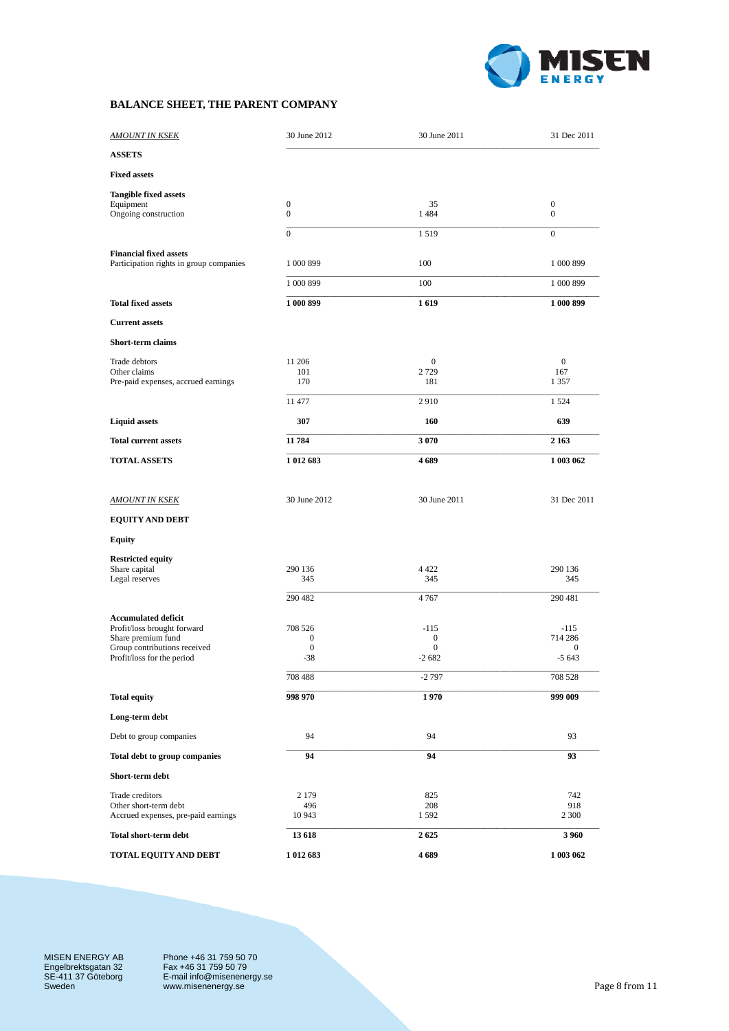

# **BALANCE SHEET, THE PARENT COMPANY**

| <u>AMOUNT IN KSEK</u>                                                                                                                         | 30 June 2012                                                        | 30 June 2011                                      | 31 Dec 2011                                                 |
|-----------------------------------------------------------------------------------------------------------------------------------------------|---------------------------------------------------------------------|---------------------------------------------------|-------------------------------------------------------------|
| <b>ASSETS</b>                                                                                                                                 |                                                                     |                                                   |                                                             |
| <b>Fixed assets</b>                                                                                                                           |                                                                     |                                                   |                                                             |
| <b>Tangible fixed assets</b><br>Equipment<br>Ongoing construction                                                                             | $\boldsymbol{0}$<br>$\boldsymbol{0}$                                | 35<br>1484                                        | $\boldsymbol{0}$<br>$\boldsymbol{0}$                        |
|                                                                                                                                               | $\overline{0}$                                                      | 1519                                              | $\mathbf{0}$                                                |
| <b>Financial fixed assets</b><br>Participation rights in group companies                                                                      | 1 000 899                                                           | 100                                               | 1 000 899                                                   |
|                                                                                                                                               | 1 000 899                                                           | 100                                               | 1 000 899                                                   |
| <b>Total fixed assets</b>                                                                                                                     | 1 000 899                                                           | 1619                                              | 1 000 899                                                   |
| <b>Current assets</b>                                                                                                                         |                                                                     |                                                   |                                                             |
| Short-term claims                                                                                                                             |                                                                     |                                                   |                                                             |
| Trade debtors<br>Other claims                                                                                                                 | 11 206<br>101                                                       | $\overline{0}$<br>2729                            | $\overline{0}$<br>167                                       |
| Pre-paid expenses, accrued earnings                                                                                                           | 170                                                                 | 181                                               | 1 3 5 7                                                     |
|                                                                                                                                               | 11 477                                                              | 2910                                              | 1 5 2 4                                                     |
| <b>Liquid assets</b>                                                                                                                          | 307                                                                 | 160                                               | 639                                                         |
| <b>Total current assets</b>                                                                                                                   | 11 784                                                              | 3 0 7 0                                           | 2 1 6 3                                                     |
| <b>TOTAL ASSETS</b>                                                                                                                           | 1 012 683                                                           | 4689                                              | 1 003 062                                                   |
|                                                                                                                                               |                                                                     |                                                   |                                                             |
| <b>AMOUNT IN KSEK</b>                                                                                                                         | 30 June 2012                                                        | 30 June 2011                                      | 31 Dec 2011                                                 |
| <b>EQUITY AND DEBT</b>                                                                                                                        |                                                                     |                                                   |                                                             |
| <b>Equity</b>                                                                                                                                 |                                                                     |                                                   |                                                             |
| <b>Restricted equity</b><br>Share capital<br>Legal reserves                                                                                   | 290 136<br>345                                                      | 4 4 2 2<br>345                                    | 290 136<br>345                                              |
|                                                                                                                                               | 290 482                                                             | 4767                                              | 290 481                                                     |
| <b>Accumulated deficit</b><br>Profit/loss brought forward<br>Share premium fund<br>Group contributions received<br>Profit/loss for the period | 708 526<br>$\boldsymbol{0}$<br>$\boldsymbol{0}$<br>$-38$<br>708 488 | $-115$<br>0<br>$\mathbf{0}$<br>$-2682$<br>$-2797$ | $-115$<br>714 286<br>$\boldsymbol{0}$<br>$-5643$<br>708 528 |
| <b>Total equity</b>                                                                                                                           | 998 970                                                             | 1970                                              | 999 009                                                     |
| Long-term debt                                                                                                                                |                                                                     |                                                   |                                                             |
| Debt to group companies                                                                                                                       | 94                                                                  | 94                                                | 93                                                          |
| Total debt to group companies                                                                                                                 | 94                                                                  | 94                                                | 93                                                          |
| Short-term debt                                                                                                                               |                                                                     |                                                   |                                                             |
| Trade creditors<br>Other short-term debt<br>Accrued expenses, pre-paid earnings                                                               | 2 1 7 9<br>496<br>10 943                                            | 825<br>208<br>1592                                | 742<br>918<br>2 3 0 0                                       |
| Total short-term debt                                                                                                                         | 13 618                                                              | 2625                                              | 3960                                                        |
| <b>TOTAL EQUITY AND DEBT</b>                                                                                                                  | 1 012 683                                                           | 4689                                              | 1 003 062                                                   |

MISEN ENERGY AB Engelbrektsgatan 32 SE-411 37 Göteborg Sweden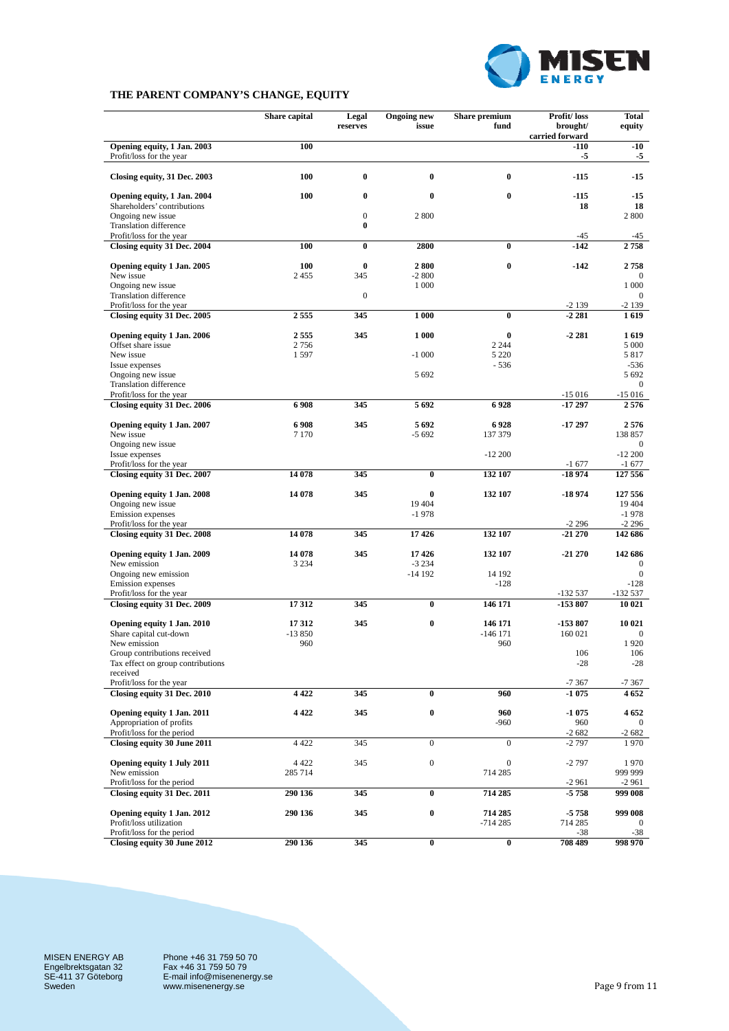

## **THE PARENT COMPANY'S CHANGE, EQUITY**

|                                                                                | Share capital      | Legal<br>reserves            | <b>Ongoing new</b><br>issue | Share premium<br>fund       | Profit/loss<br>brought/<br>carried forward | <b>Total</b><br>equity     |
|--------------------------------------------------------------------------------|--------------------|------------------------------|-----------------------------|-----------------------------|--------------------------------------------|----------------------------|
| Opening equity, 1 Jan. 2003<br>Profit/loss for the year                        | 100                |                              |                             |                             | -110<br>-5                                 | $-10$<br>-5                |
| Closing equity, 31 Dec. 2003                                                   | 100                | $\bf{0}$                     | $\bf{0}$                    | $\bf{0}$                    | $-115$                                     | $-15$                      |
| Opening equity, 1 Jan. 2004<br>Shareholders' contributions                     | 100                | 0                            | $\bf{0}$                    | $\bf{0}$                    | -115<br>18                                 | -15<br>18                  |
| Ongoing new issue<br><b>Translation difference</b><br>Profit/loss for the year |                    | $\boldsymbol{0}$<br>$\bf{0}$ | 2 800                       |                             | $-45$                                      | 2 800<br>-45               |
| Closing equity 31 Dec. 2004                                                    | 100                | $\bf{0}$                     | 2800                        | $\bf{0}$                    | $-142$                                     | 2758                       |
| Opening equity 1 Jan. 2005<br>New issue                                        | 100<br>2455        | $\bf{0}$<br>345              | 2800<br>$-2800$             | $\bf{0}$                    | $-142$                                     | 2758<br>$\Omega$           |
| Ongoing new issue                                                              |                    |                              | 1 0 0 0                     |                             |                                            | 1 000                      |
| <b>Translation difference</b><br>Profit/loss for the year                      |                    | $\boldsymbol{0}$             |                             |                             | $-2139$                                    | $\overline{0}$<br>-2 139   |
| Closing equity 31 Dec. 2005                                                    | 2555               | 345                          | 1 000                       | $\bf{0}$                    | $-2.281$                                   | 1619                       |
| Opening equity 1 Jan. 2006                                                     | 2555               | 345                          | 1 000                       | $\bf{0}$                    | $-2281$                                    | 1619                       |
| Offset share issue                                                             | 2756               |                              |                             | 2 2 4 4                     |                                            | 5 0 0 0                    |
| New issue<br>Issue expenses                                                    | 1597               |                              | $-1000$                     | 5 2 2 0<br>$-536$           |                                            | 5817<br>$-536$             |
| Ongoing new issue                                                              |                    |                              | 5 6 9 2                     |                             |                                            | 5 6 9 2                    |
| <b>Translation difference</b><br>Profit/loss for the year                      |                    |                              |                             |                             | $-15016$                                   | $\overline{0}$<br>$-15016$ |
| Closing equity 31 Dec. 2006                                                    | 6908               | 345                          | 5692                        | 6928                        | $-17297$                                   | 2576                       |
| Opening equity 1 Jan. 2007<br>New issue                                        | 6908<br>7 1 7 0    | 345                          | 5 6 9 2<br>$-5692$          | 6928<br>137 379             | $-17297$                                   | 2576<br>138 857            |
| Ongoing new issue                                                              |                    |                              |                             |                             |                                            | $\overline{0}$             |
| Issue expenses<br>Profit/loss for the year                                     |                    |                              |                             | $-12200$                    | $-1677$                                    | $-12200$<br>$-1677$        |
| Closing equity 31 Dec. 2007                                                    | 14 078             | 345                          | $\bf{0}$                    | 132 107                     | -18 974                                    | 127 556                    |
| Opening equity 1 Jan. 2008<br>Ongoing new issue                                | 14 078             | 345                          | $\bf{0}$<br>19 404          | 132 107                     | -18 974                                    | 127 556<br>19 404          |
| Emission expenses<br>Profit/loss for the year                                  |                    |                              | $-1978$                     |                             | $-2296$                                    | $-1978$<br>$-2296$         |
| Closing equity 31 Dec. 2008                                                    | 14 078             | 345                          | 17426                       | 132 107                     | $-21270$                                   | 142 686                    |
| Opening equity 1 Jan. 2009<br>New emission                                     | 14 078<br>3 2 3 4  | 345                          | 17426<br>$-3234$            | 132 107                     | $-21270$                                   | 142 686<br>$\bf{0}$        |
| Ongoing new emission                                                           |                    |                              | $-14192$                    | 14 192                      |                                            | $\overline{0}$             |
| Emission expenses<br>Profit/loss for the year                                  |                    |                              |                             | $-128$                      | $-132537$                                  | $-128$<br>$-132537$        |
| Closing equity 31 Dec. 2009                                                    | 17312              | 345                          | $\bf{0}$                    | 146 171                     | -153 807                                   | 10 021                     |
|                                                                                | 17312              | 345                          | $\bf{0}$                    | 146 171                     | -153 807                                   | 10 021                     |
| Opening equity 1 Jan. 2010<br>Share capital cut-down                           | $-13850$           |                              |                             | $-146$ 171                  | 160 021                                    | $\mathbf{0}$               |
| New emission<br>Group contributions received                                   | 960                |                              |                             | 960                         |                                            | 1920                       |
| Tax effect on group contributions<br>received                                  |                    |                              |                             |                             | 106<br>$-28$                               | 106<br>$-28$               |
| Profit/loss for the year<br>Closing equity 31 Dec. 2010                        | 4 4 2 2            | 345                          |                             |                             | $-7367$<br>$-1075$                         | -7 367                     |
|                                                                                |                    |                              | $\bf{0}$                    | 960                         |                                            | 4 6 5 2                    |
| Opening equity 1 Jan. 2011                                                     | 4 4 2 2            | 345                          | $\pmb{0}$                   | 960                         | -1 075                                     | 4 652                      |
| Appropriation of profits<br>Profit/loss for the period                         |                    |                              |                             | $-960$                      | 960<br>$-2682$                             | $\bf{0}$<br>-2 682         |
| Closing equity 30 June 2011                                                    | 4 4 2 2            | 345                          | $\boldsymbol{0}$            | $\overline{0}$              | $-2797$                                    | 1970                       |
| Opening equity 1 July 2011<br>New emission                                     | 4 4 2 2<br>285 714 | 345                          | $\boldsymbol{0}$            | $\boldsymbol{0}$<br>714 285 | $-2797$                                    | 1970<br>999 999            |
| Profit/loss for the period                                                     |                    |                              |                             |                             | $-2961$                                    | -2 961                     |
| Closing equity 31 Dec. 2011<br>Opening equity 1 Jan. 2012                      | 290 136<br>290 136 | 345<br>345                   | $\bf{0}$<br>$\bf{0}$        | 714 285<br>714 285          | -5 758<br>-5 758                           | 999 008<br>999 008         |
| Profit/loss utilization                                                        |                    |                              |                             | $-714285$                   | 714 285                                    | $\mathbf{0}$               |
| Profit/loss for the period<br>Closing equity 30 June 2012                      | 290 136            | 345                          | $\bf{0}$                    | $\bf{0}$                    | -38<br>708 489                             | -38<br>998 970             |

MISEN ENERGY AB Engelbrektsgatan 32 SE-411 37 Göteborg Sweden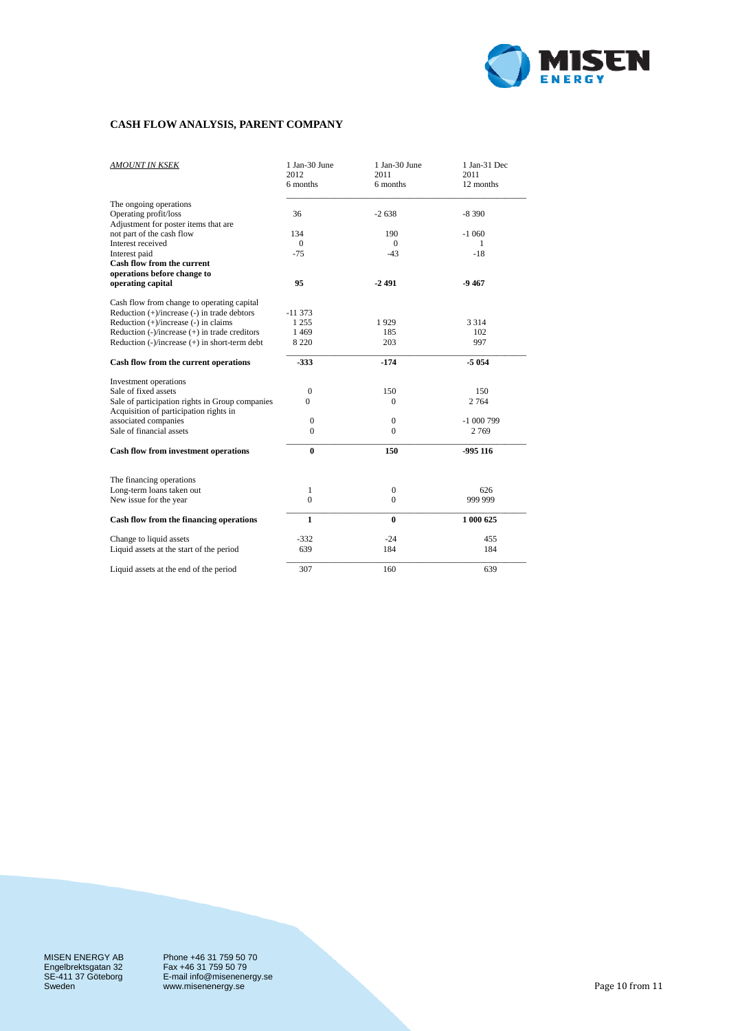

## **CASH FLOW ANALYSIS, PARENT COMPANY**

| <b>AMOUNT IN KSEK</b>                                                                          | 1 Jan-30 June<br>2012<br>6 months | 1 Jan-30 June<br>2011<br>6 months | 1 Jan-31 Dec<br>2011<br>12 months |
|------------------------------------------------------------------------------------------------|-----------------------------------|-----------------------------------|-----------------------------------|
| The ongoing operations                                                                         |                                   |                                   |                                   |
| Operating profit/loss                                                                          | 36                                | $-2638$                           | $-8390$                           |
| Adjustment for poster items that are                                                           |                                   |                                   |                                   |
| not part of the cash flow<br>Interest received                                                 | 134<br>$\Omega$                   | 190<br>$\Omega$                   | $-1060$<br>1                      |
| Interest paid                                                                                  | $-75$                             | $-43$                             | $-18$                             |
| Cash flow from the current                                                                     |                                   |                                   |                                   |
| operations before change to                                                                    |                                   |                                   |                                   |
| operating capital                                                                              | 95                                | $-2491$                           | $-9467$                           |
|                                                                                                |                                   |                                   |                                   |
| Cash flow from change to operating capital<br>Reduction $(+)/$ increase $(-)$ in trade debtors | $-11373$                          |                                   |                                   |
| Reduction (+)/increase (-) in claims                                                           | 1 2 5 5                           | 1929                              | 3 3 1 4                           |
| Reduction $(-)/$ increase $(+)$ in trade creditors                                             | 1469                              | 185                               | 102                               |
| Reduction $(-)/$ increase $(+)$ in short-term debt                                             | 8 2 2 0                           | 203                               | 997                               |
|                                                                                                |                                   |                                   |                                   |
| Cash flow from the current operations                                                          | $-333$                            | $-174$                            | -5 054                            |
| Investment operations                                                                          |                                   |                                   |                                   |
| Sale of fixed assets                                                                           | $\mathbf{0}$                      | 150                               | 150                               |
| Sale of participation rights in Group companies<br>Acquisition of participation rights in      | 0                                 | $\Omega$                          | 2 7 6 4                           |
| associated companies                                                                           | $\mathbf{0}$                      | $\mathbf{0}$                      | $-1000799$                        |
| Sale of financial assets                                                                       | $\Omega$                          | $\Omega$                          | 2769                              |
| <b>Cash flow from investment operations</b>                                                    | $\bf{0}$                          | 150                               | $-995116$                         |
| The financing operations                                                                       |                                   |                                   |                                   |
| Long-term loans taken out                                                                      | 1                                 | $\boldsymbol{0}$                  | 626                               |
| New issue for the year                                                                         | $\Omega$                          | $\Omega$                          | 999 999                           |
|                                                                                                |                                   |                                   |                                   |
| Cash flow from the financing operations                                                        | $\mathbf{1}$                      | $\bf{0}$                          | 1 000 625                         |
| Change to liquid assets                                                                        | $-332$                            | $-24$                             | 455                               |
| Liquid assets at the start of the period                                                       | 639                               | 184                               | 184                               |
| Liquid assets at the end of the period                                                         | 307                               | 160                               | 639                               |

MISEN ENERGY AB Engelbrektsgatan 32 SE-411 37 Göteborg Sweden